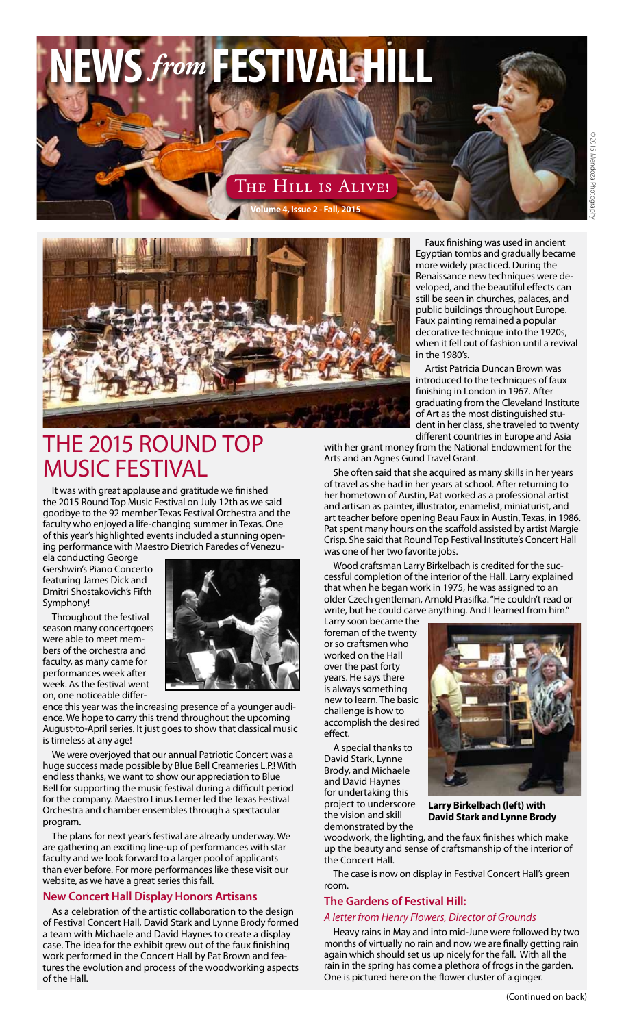# **NEWS***from* **FESTIVAL HILL**

#### The Hill is Alive! **Volume 4, Issue 2 - Fall, 2015**



### The 2015 Round Top Music Festival

It was with great applause and gratitude we finished the 2015 Round Top Music Festival on July 12th as we said goodbye to the 92 member Texas Festival Orchestra and the faculty who enjoyed a life-changing summer in Texas. One of this year's highlighted events included a stunning opening performance with Maestro Dietrich Paredes of Venezu-

ela conducting George Gershwin's Piano Concerto featuring James Dick and Dmitri Shostakovich's Fifth Symphony!

Throughout the festival season many concertgoers were able to meet members of the orchestra and faculty, as many came for performances week after week. As the festival went on, one noticeable differ-



ence this year was the increasing presence of a younger audience. We hope to carry this trend throughout the upcoming August-to-April series. It just goes to show that classical music is timeless at any age!

We were overjoyed that our annual Patriotic Concert was a huge success made possible by Blue Bell Creameries L.P.! With endless thanks, we want to show our appreciation to Blue Bell for supporting the music festival during a difficult period for the company. Maestro Linus Lerner led the Texas Festival Orchestra and chamber ensembles through a spectacular program.

The plans for next year's festival are already underway. We are gathering an exciting line-up of performances with star faculty and we look forward to a larger pool of applicants than ever before. For more performances like these visit our website, as we have a great series this fall.

#### **New Concert Hall Display Honors Artisans**

As a celebration of the artistic collaboration to the design of Festival Concert Hall, David Stark and Lynne Brody formed a team with Michaele and David Haynes to create a display case. The idea for the exhibit grew out of the faux finishing work performed in the Concert Hall by Pat Brown and features the evolution and process of the woodworking aspects of the Hall.

Faux finishing was used in ancient Egyptian tombs and gradually became more widely practiced. During the Renaissance new techniques were developed, and the beautiful effects can still be seen in churches, palaces, and public buildings throughout Europe. Faux painting remained a popular decorative technique into the 1920s, when it fell out of fashion until a revival in the 1980's.

Artist Patricia Duncan Brown was introduced to the techniques of faux finishing in London in 1967. After graduating from the Cleveland Institute of Art as the most distinguished student in her class, she traveled to twenty different countries in Europe and Asia

with her grant money from the National Endowment for the Arts and an Agnes Gund Travel Grant.

She often said that she acquired as many skills in her years of travel as she had in her years at school. After returning to her hometown of Austin, Pat worked as a professional artist and artisan as painter, illustrator, enamelist, miniaturist, and art teacher before opening Beau Faux in Austin, Texas, in 1986. Pat spent many hours on the scaffold assisted by artist Margie Crisp. She said that Round Top Festival Institute's Concert Hall was one of her two favorite jobs.

Wood craftsman Larry Birkelbach is credited for the successful completion of the interior of the Hall. Larry explained that when he began work in 1975, he was assigned to an older Czech gentleman, Arnold Prasifka. "He couldn't read or write, but he could carve anything. And I learned from him."

Larry soon became the foreman of the twenty or so craftsmen who worked on the Hall over the past forty years. He says there is always something new to learn. The basic challenge is how to accomplish the desired effect.

A special thanks to David Stark, Lynne Brody, and Michaele and David Haynes for undertaking this project to underscore the vision and skill demonstrated by the



**Larry Birkelbach (left) with David Stark and Lynne Brody**

woodwork, the lighting, and the faux finishes which make up the beauty and sense of craftsmanship of the interior of the Concert Hall.

The case is now on display in Festival Concert Hall's green room.

#### **The Gardens of Festival Hill:**

#### *A letter from Henry Flowers, Director of Grounds*

Heavy rains in May and into mid-June were followed by two months of virtually no rain and now we are finally getting rain again which should set us up nicely for the fall. With all the rain in the spring has come a plethora of frogs in the garden. One is pictured here on the flower cluster of a ginger.